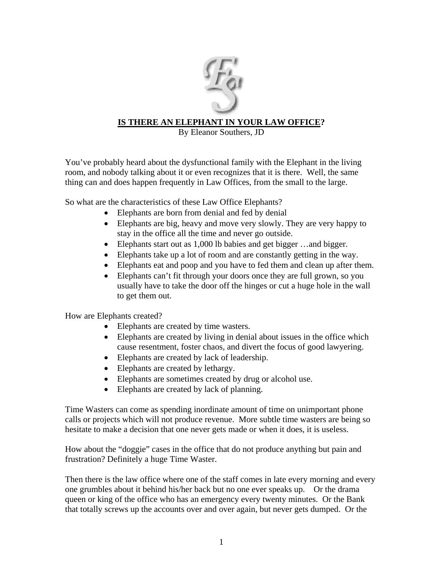

## **IS THERE AN ELEPHANT IN YOUR LAW OFFICE?**

By Eleanor Southers, JD

You've probably heard about the dysfunctional family with the Elephant in the living room, and nobody talking about it or even recognizes that it is there. Well, the same thing can and does happen frequently in Law Offices, from the small to the large.

So what are the characteristics of these Law Office Elephants?

- Elephants are born from denial and fed by denial
- Elephants are big, heavy and move very slowly. They are very happy to stay in the office all the time and never go outside.
- Elephants start out as 1,000 lb babies and get bigger ... and bigger.
- Elephants take up a lot of room and are constantly getting in the way.
- Elephants eat and poop and you have to fed them and clean up after them.
- Elephants can't fit through your doors once they are full grown, so you usually have to take the door off the hinges or cut a huge hole in the wall to get them out.

How are Elephants created?

- Elephants are created by time wasters.
- Elephants are created by living in denial about issues in the office which cause resentment, foster chaos, and divert the focus of good lawyering.
- Elephants are created by lack of leadership.
- Elephants are created by lethargy.
- Elephants are sometimes created by drug or alcohol use.
- Elephants are created by lack of planning.

Time Wasters can come as spending inordinate amount of time on unimportant phone calls or projects which will not produce revenue. More subtle time wasters are being so hesitate to make a decision that one never gets made or when it does, it is useless.

How about the "doggie" cases in the office that do not produce anything but pain and frustration? Definitely a huge Time Waster.

Then there is the law office where one of the staff comes in late every morning and every one grumbles about it behind his/her back but no one ever speaks up. Or the drama queen or king of the office who has an emergency every twenty minutes. Or the Bank that totally screws up the accounts over and over again, but never gets dumped. Or the